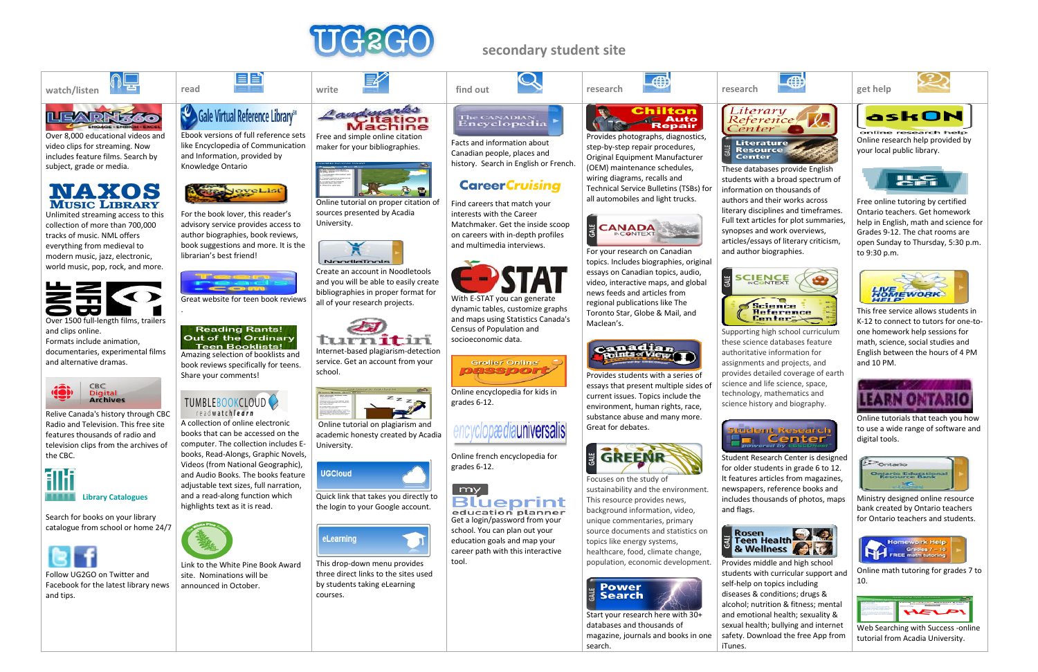

#### **secondary student site**









Over 8,000 educational videos and video clips for streaming. Now includes feature films. Search by subject, grade or media.



Unlimited streaming access to this collection of more than 700,000 tracks of music. NML offers everything from medieval to modern music, jazz, electronic, world music, pop, rock, and more.



Over 1500 full‐length films, trailers and clips online.

Formats include animation, documentaries, experimental films and alternative dramas.



Relive Canada's history through CBC Radio and Television. This free site features thousands of radio and television clips from the archives of the CBC.



**Teen Booklists!** Amazing selection of booklists and book reviews specifically for teens. Share your comments!

#### TUMBLEBOOKCLOUD readwatchlearn



Search for books on your library catalogue from school or home 24/7



Follow UG2GO on Twitter and Facebook for the latest library news and tips.



Ebook versions of full reference sets like Encyclopedia of Communication and Information, provided by Knowledge Ontario

目当



For the book lover, this reader's advisory service provides access to author biographies, book reviews, book suggestions and more. It is the librarian's best friend!



#### **Reading Rants! Out of the Ordinary**

A collection of online electronic books that can be accessed on the computer. The collection includes E‐ books, Read‐Alongs, Graphic Novels, Videos (from National Geographic), and Audio Books. The books feature adjustable text sizes, full narration, and <sup>a</sup> read‐along function which highlights text as it is read.



education planner Get a login/password from your school. You can plan out your education goals and map your career path with this interactive tool.

Link to the White Pine Book Award site. Nominations will beannounced in October.



Free and simple online citation maker for your bibliographies.



Online tutorial on proper citation of sources presented by Acadia University.



Create an account in Noodletools and you will be able to easily create bibliographies in proper format for all of your research projects.



Internet‐based plagiarism‐detection service. Get an account from your school.



Online tutorial on plagiarism and academic honesty created by Acadia University.









the login to your Google account.



This drop‐down menu provides three direct links to the sites used by students taking eLearning courses.

# The CANADIAN<br>Encyclopedia

Facts and information about Canadian people, places and history. Search in English or French.

#### **CareerCruising**

Find careers that match your interests with the Career Matchmaker. Get the inside scoop on careers with in‐depth profiles and multimedia interviews.



With E‐STAT you can generate dynamic tables, customize graphs and maps using Statistics Canada's Census of Population and socioeconomic data.



Online encyclopedia for kids in grades 6‐12.

# encyclopædiauniversalis

Online french encyclopedia for grades 6‐12.



Provides photographs, diagnostics, step‐by‐step repair procedures, Original Equipment Manufacturer (OEM) maintenance schedules, wiring diagrams, recalls and Technical Service Bulletins (TSBs) for all automobiles and light trucks.



For your research on Canadian topics. Includes biographies, original essays on Canadian topics, audio, video, interactive maps, and global news feeds and articles from regional publications like The Toronto Star, Globe & Mail, and



Maclean's.



Provides students with <sup>a</sup> series of essays that present multiple sides of current issues. Topics include the environment, human rights, race, substance abuse and many more.



Great for debates.



Focuses on the study of

sustainability and the environment. This resource provides news, background information, video, unique commentaries, primary source documents and statistics on topics like energy systems, healthcare, food, climate change, population, economic development.



Start your research here with 30+ databases and thousands of search.

magazine, journals and books in one



These databases provide English students with <sup>a</sup> broad spectrum of information on thousands of authors and their works across literary disciplines and timeframes. Full text articles for plot summaries, synopses and work overviews, articles/essays of literary criticism, and author biographies.









Supporting high school curriculum these science databases feature authoritative information for assignments and projects, and provides detailed coverage of earth science and life science, space, technology, mathematics and science history and biography.









Student Research Center is designed for older students in grade 6 to 12. It features articles from magazines, newspapers, reference books and includes thousands of photos, maps and flags.



Provides middle and high school students with curricular support and self-help on topics including diseases & conditions; drugs & alcohol; nutrition & fitness; mental and emotional health; sexuality & sexual health; bullying and internet safety. Download the free App from iTunes.

Online research help provided by your local public library.



Free online tutoring by certified Ontario teachers. Get homework help in English, math and science for Grades 9‐12. The chat rooms are open Sunday to Thursday, 5:30 p.m. to 9:30 p.m.



This free service allows students inK‐12 to connect to tutors for one‐to‐ one homework help sessions for math, science, social studies and English between the hours of 4 PM and 10 PM.



Online tutorials that teach you how to use <sup>a</sup> wide range of software and digital tools.



Ministry designed online resource bank created by Ontario teachers for Ontario teachers and students.



Online math tutoring for grades 7 to 10.



Web Searching with Success ‐online tutorial from Acadia University.